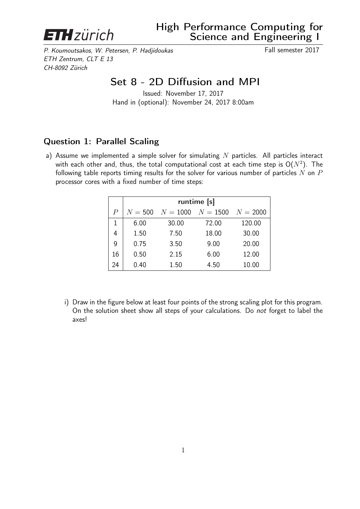

P. Koumoutsakos, W. Petersen, P. Hadjidoukas Fall semester 2017 ETH Zentrum, CLT E 13 CH-8092 Zürich

## Set 8 - 2D Diffusion and MPI

Issued: November 17, 2017 Hand in (optional): November 24, 2017 8:00am

## Question 1: Parallel Scaling

a) Assume we implemented a simple solver for simulating  $N$  particles. All particles interact with each other and, thus, the total computational cost at each time step is  $\mathsf{O}(N^2)$ . The following table reports timing results for the solver for various number of particles  $N$  on  $P$ processor cores with a fixed number of time steps:

|                  | runtime [s] |            |          |            |  |  |  |  |
|------------------|-------------|------------|----------|------------|--|--|--|--|
| $\boldsymbol{P}$ | $N = 500$   | $N = 1000$ | $N=1500$ | $N = 2000$ |  |  |  |  |
| 1                | 6.00        | 30.00      | 72.00    | 120.00     |  |  |  |  |
| 4                | 1.50        | 7.50       | 18.00    | 30.00      |  |  |  |  |
| 9                | 0.75        | 3.50       | 9.00     | 20.00      |  |  |  |  |
| 16               | 0.50        | 2.15       | 6.00     | 12.00      |  |  |  |  |
| 24               | 0.40        | 1.50       | 4.50     | 10.00      |  |  |  |  |

i) Draw in the figure below at least four points of the strong scaling plot for this program. On the solution sheet show all steps of your calculations. Do not forget to label the axes!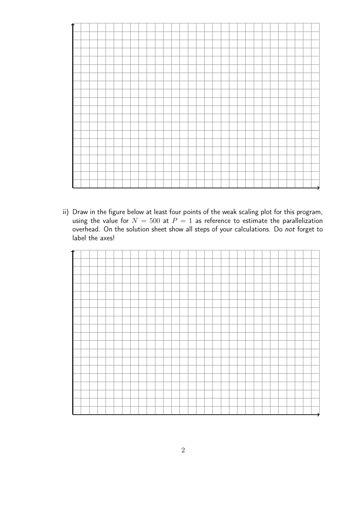| ተ |  |  |  |  |  |  |  |  |  |  |  |  |  |  |  |
|---|--|--|--|--|--|--|--|--|--|--|--|--|--|--|--|
|   |  |  |  |  |  |  |  |  |  |  |  |  |  |  |  |
|   |  |  |  |  |  |  |  |  |  |  |  |  |  |  |  |
|   |  |  |  |  |  |  |  |  |  |  |  |  |  |  |  |
|   |  |  |  |  |  |  |  |  |  |  |  |  |  |  |  |
|   |  |  |  |  |  |  |  |  |  |  |  |  |  |  |  |
|   |  |  |  |  |  |  |  |  |  |  |  |  |  |  |  |
|   |  |  |  |  |  |  |  |  |  |  |  |  |  |  |  |
|   |  |  |  |  |  |  |  |  |  |  |  |  |  |  |  |
|   |  |  |  |  |  |  |  |  |  |  |  |  |  |  |  |
|   |  |  |  |  |  |  |  |  |  |  |  |  |  |  |  |
|   |  |  |  |  |  |  |  |  |  |  |  |  |  |  |  |
|   |  |  |  |  |  |  |  |  |  |  |  |  |  |  |  |
|   |  |  |  |  |  |  |  |  |  |  |  |  |  |  |  |
|   |  |  |  |  |  |  |  |  |  |  |  |  |  |  |  |
|   |  |  |  |  |  |  |  |  |  |  |  |  |  |  |  |
|   |  |  |  |  |  |  |  |  |  |  |  |  |  |  |  |
|   |  |  |  |  |  |  |  |  |  |  |  |  |  |  |  |
|   |  |  |  |  |  |  |  |  |  |  |  |  |  |  |  |
|   |  |  |  |  |  |  |  |  |  |  |  |  |  |  |  |

ii) Draw in the figure below at least four points of the weak scaling plot for this program, using the value for  $N = 500$  at  $P = 1$  as reference to estimate the parallelization overhead. On the solution sheet show all steps of your calculations. Do not forget to label the axes!

| ∱ |  |  |  |  |  |  |  |  |  |  |  |  |  |  |  |
|---|--|--|--|--|--|--|--|--|--|--|--|--|--|--|--|
|   |  |  |  |  |  |  |  |  |  |  |  |  |  |  |  |
|   |  |  |  |  |  |  |  |  |  |  |  |  |  |  |  |
|   |  |  |  |  |  |  |  |  |  |  |  |  |  |  |  |
|   |  |  |  |  |  |  |  |  |  |  |  |  |  |  |  |
|   |  |  |  |  |  |  |  |  |  |  |  |  |  |  |  |
|   |  |  |  |  |  |  |  |  |  |  |  |  |  |  |  |
|   |  |  |  |  |  |  |  |  |  |  |  |  |  |  |  |
|   |  |  |  |  |  |  |  |  |  |  |  |  |  |  |  |
|   |  |  |  |  |  |  |  |  |  |  |  |  |  |  |  |
|   |  |  |  |  |  |  |  |  |  |  |  |  |  |  |  |
|   |  |  |  |  |  |  |  |  |  |  |  |  |  |  |  |
|   |  |  |  |  |  |  |  |  |  |  |  |  |  |  |  |
|   |  |  |  |  |  |  |  |  |  |  |  |  |  |  |  |
|   |  |  |  |  |  |  |  |  |  |  |  |  |  |  |  |
|   |  |  |  |  |  |  |  |  |  |  |  |  |  |  |  |
|   |  |  |  |  |  |  |  |  |  |  |  |  |  |  |  |
|   |  |  |  |  |  |  |  |  |  |  |  |  |  |  |  |
|   |  |  |  |  |  |  |  |  |  |  |  |  |  |  |  |
|   |  |  |  |  |  |  |  |  |  |  |  |  |  |  |  |
|   |  |  |  |  |  |  |  |  |  |  |  |  |  |  |  |